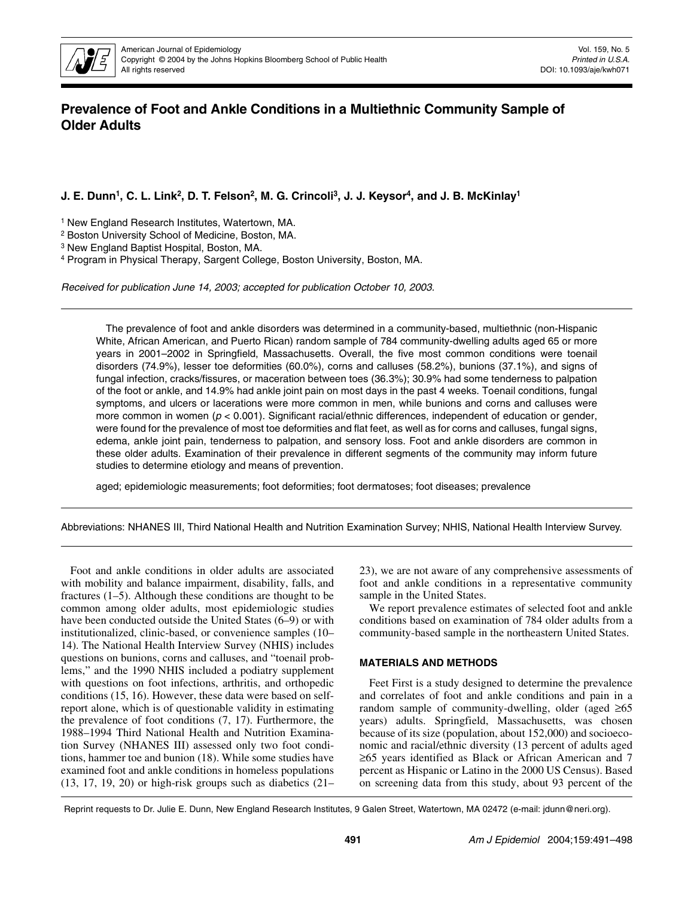

# **Prevalence of Foot and Ankle Conditions in a Multiethnic Community Sample of Older Adults**

**J. E. Dunn1, C. L. Link2, D. T. Felson2, M. G. Crincoli3, J. J. Keysor4, and J. B. McKinlay1**

1 New England Research Institutes, Watertown, MA.

2 Boston University School of Medicine, Boston, MA.

3 New England Baptist Hospital, Boston, MA.

4 Program in Physical Therapy, Sargent College, Boston University, Boston, MA.

Received for publication June 14, 2003; accepted for publication October 10, 2003.

The prevalence of foot and ankle disorders was determined in a community-based, multiethnic (non-Hispanic White, African American, and Puerto Rican) random sample of 784 community-dwelling adults aged 65 or more years in 2001–2002 in Springfield, Massachusetts. Overall, the five most common conditions were toenail disorders (74.9%), lesser toe deformities (60.0%), corns and calluses (58.2%), bunions (37.1%), and signs of fungal infection, cracks/fissures, or maceration between toes (36.3%); 30.9% had some tenderness to palpation of the foot or ankle, and 14.9% had ankle joint pain on most days in the past 4 weeks. Toenail conditions, fungal symptoms, and ulcers or lacerations were more common in men, while bunions and corns and calluses were more common in women ( $p < 0.001$ ). Significant racial/ethnic differences, independent of education or gender, were found for the prevalence of most toe deformities and flat feet, as well as for corns and calluses, fungal signs, edema, ankle joint pain, tenderness to palpation, and sensory loss. Foot and ankle disorders are common in these older adults. Examination of their prevalence in different segments of the community may inform future studies to determine etiology and means of prevention.

aged; epidemiologic measurements; foot deformities; foot dermatoses; foot diseases; prevalence

Abbreviations: NHANES III, Third National Health and Nutrition Examination Survey; NHIS, National Health Interview Survey.

Foot and ankle conditions in older adults are associated with mobility and balance impairment, disability, falls, and fractures (1–5). Although these conditions are thought to be common among older adults, most epidemiologic studies have been conducted outside the United States (6–9) or with institutionalized, clinic-based, or convenience samples (10– 14). The National Health Interview Survey (NHIS) includes questions on bunions, corns and calluses, and "toenail problems," and the 1990 NHIS included a podiatry supplement with questions on foot infections, arthritis, and orthopedic conditions (15, 16). However, these data were based on selfreport alone, which is of questionable validity in estimating the prevalence of foot conditions (7, 17). Furthermore, the 1988–1994 Third National Health and Nutrition Examination Survey (NHANES III) assessed only two foot conditions, hammer toe and bunion (18). While some studies have examined foot and ankle conditions in homeless populations (13, 17, 19, 20) or high-risk groups such as diabetics (21–

23), we are not aware of any comprehensive assessments of foot and ankle conditions in a representative community sample in the United States.

We report prevalence estimates of selected foot and ankle conditions based on examination of 784 older adults from a community-based sample in the northeastern United States.

## **MATERIALS AND METHODS**

Feet First is a study designed to determine the prevalence and correlates of foot and ankle conditions and pain in a random sample of community-dwelling, older (aged  $\geq 65$ ) years) adults. Springfield, Massachusetts, was chosen because of its size (population, about 152,000) and socioeconomic and racial/ethnic diversity (13 percent of adults aged ≥65 years identified as Black or African American and 7 percent as Hispanic or Latino in the 2000 US Census). Based on screening data from this study, about 93 percent of the

Reprint requests to Dr. Julie E. Dunn, New England Research Institutes, 9 Galen Street, Watertown, MA 02472 (e-mail: jdunn@neri.org).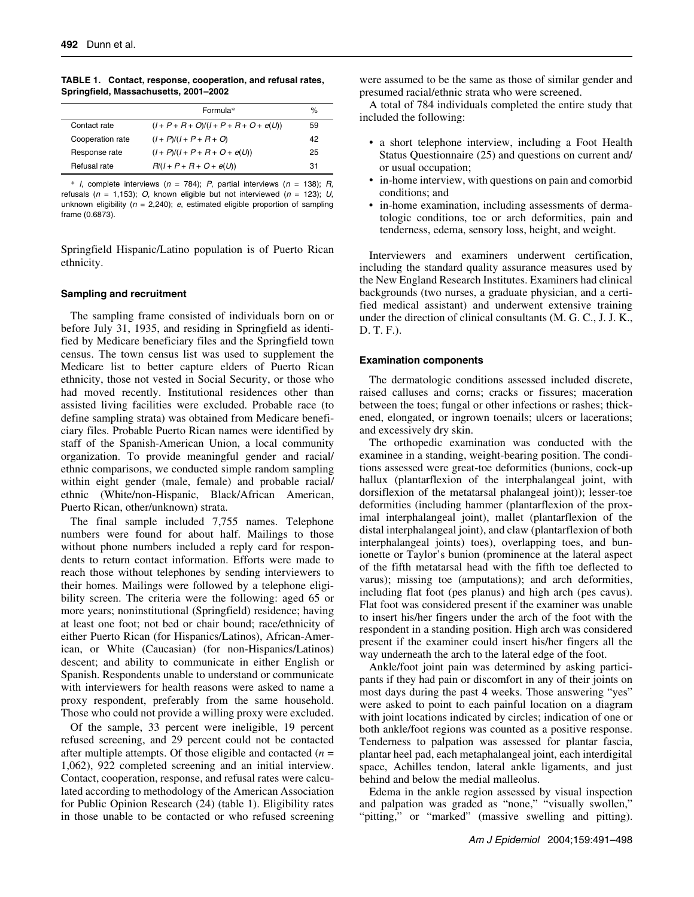**TABLE 1. Contact, response, cooperation, and refusal rates, Springfield, Massachusetts, 2001–2002**

|                  | Formula*                                 | $\%$ |
|------------------|------------------------------------------|------|
| Contact rate     | $(I + P + R + O)/(I + P + R + O + e(U))$ | 59   |
| Cooperation rate | $(I + P)/(I + P + R + O)$                | 42   |
| Response rate    | $(I + P)/(I + P + R + O + e(U))$         | 25   |
| Refusal rate     | $R/(I + P + R + O + e(U))$               | 31   |

\* I, complete interviews ( $n = 784$ ); P, partial interviews ( $n = 138$ ); R, refusals ( $n = 1,153$ ); O, known eligible but not interviewed ( $n = 123$ ); U, unknown eligibility ( $n = 2,240$ ); e, estimated eligible proportion of sampling frame (0.6873).

Springfield Hispanic/Latino population is of Puerto Rican ethnicity.

## **Sampling and recruitment**

The sampling frame consisted of individuals born on or before July 31, 1935, and residing in Springfield as identified by Medicare beneficiary files and the Springfield town census. The town census list was used to supplement the Medicare list to better capture elders of Puerto Rican ethnicity, those not vested in Social Security, or those who had moved recently. Institutional residences other than assisted living facilities were excluded. Probable race (to define sampling strata) was obtained from Medicare beneficiary files. Probable Puerto Rican names were identified by staff of the Spanish-American Union, a local community organization. To provide meaningful gender and racial/ ethnic comparisons, we conducted simple random sampling within eight gender (male, female) and probable racial/ ethnic (White/non-Hispanic, Black/African American, Puerto Rican, other/unknown) strata.

The final sample included 7,755 names. Telephone numbers were found for about half. Mailings to those without phone numbers included a reply card for respondents to return contact information. Efforts were made to reach those without telephones by sending interviewers to their homes. Mailings were followed by a telephone eligibility screen. The criteria were the following: aged 65 or more years; noninstitutional (Springfield) residence; having at least one foot; not bed or chair bound; race/ethnicity of either Puerto Rican (for Hispanics/Latinos), African-American, or White (Caucasian) (for non-Hispanics/Latinos) descent; and ability to communicate in either English or Spanish. Respondents unable to understand or communicate with interviewers for health reasons were asked to name a proxy respondent, preferably from the same household. Those who could not provide a willing proxy were excluded.

Of the sample, 33 percent were ineligible, 19 percent refused screening, and 29 percent could not be contacted after multiple attempts. Of those eligible and contacted (*n* = 1,062), 922 completed screening and an initial interview. Contact, cooperation, response, and refusal rates were calculated according to methodology of the American Association for Public Opinion Research (24) (table 1). Eligibility rates in those unable to be contacted or who refused screening were assumed to be the same as those of similar gender and presumed racial/ethnic strata who were screened.

A total of 784 individuals completed the entire study that included the following:

- a short telephone interview, including a Foot Health Status Questionnaire (25) and questions on current and/ or usual occupation;
- in-home interview, with questions on pain and comorbid conditions; and
- in-home examination, including assessments of dermatologic conditions, toe or arch deformities, pain and tenderness, edema, sensory loss, height, and weight.

Interviewers and examiners underwent certification, including the standard quality assurance measures used by the New England Research Institutes. Examiners had clinical backgrounds (two nurses, a graduate physician, and a certified medical assistant) and underwent extensive training under the direction of clinical consultants (M. G. C., J. J. K., D. T. F.).

## **Examination components**

The dermatologic conditions assessed included discrete, raised calluses and corns; cracks or fissures; maceration between the toes; fungal or other infections or rashes; thickened, elongated, or ingrown toenails; ulcers or lacerations; and excessively dry skin.

The orthopedic examination was conducted with the examinee in a standing, weight-bearing position. The conditions assessed were great-toe deformities (bunions, cock-up hallux (plantarflexion of the interphalangeal joint, with dorsiflexion of the metatarsal phalangeal joint)); lesser-toe deformities (including hammer (plantarflexion of the proximal interphalangeal joint), mallet (plantarflexion of the distal interphalangeal joint), and claw (plantarflexion of both interphalangeal joints) toes), overlapping toes, and bunionette or Taylor's bunion (prominence at the lateral aspect of the fifth metatarsal head with the fifth toe deflected to varus); missing toe (amputations); and arch deformities, including flat foot (pes planus) and high arch (pes cavus). Flat foot was considered present if the examiner was unable to insert his/her fingers under the arch of the foot with the respondent in a standing position. High arch was considered present if the examiner could insert his/her fingers all the way underneath the arch to the lateral edge of the foot.

Ankle/foot joint pain was determined by asking participants if they had pain or discomfort in any of their joints on most days during the past 4 weeks. Those answering "yes" were asked to point to each painful location on a diagram with joint locations indicated by circles; indication of one or both ankle/foot regions was counted as a positive response. Tenderness to palpation was assessed for plantar fascia, plantar heel pad, each metaphalangeal joint, each interdigital space, Achilles tendon, lateral ankle ligaments, and just behind and below the medial malleolus.

Edema in the ankle region assessed by visual inspection and palpation was graded as "none," "visually swollen," "pitting," or "marked" (massive swelling and pitting).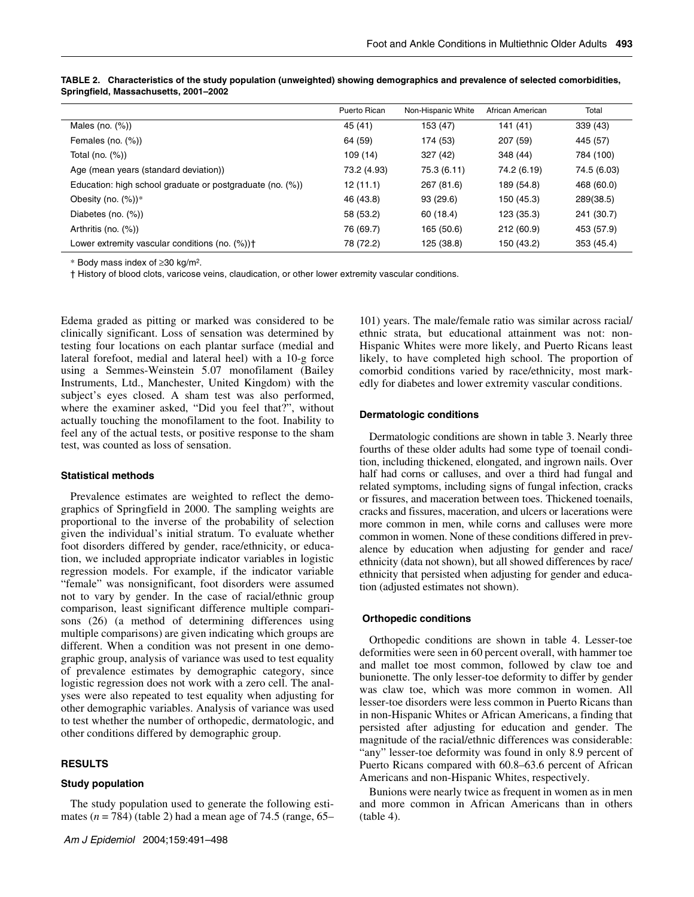|                                                           | Puerto Rican | Non-Hispanic White | African American | Total       |
|-----------------------------------------------------------|--------------|--------------------|------------------|-------------|
| Males (no. $(\%)$ )                                       | 45 (41)      | 153 (47)           | 141(41)          | 339 (43)    |
| Females (no. $(\%)$ )                                     | 64 (59)      | 174 (53)           | 207 (59)         | 445 (57)    |
| Total (no. $(\%)$ )                                       | 109(14)      | 327 (42)           | 348 (44)         | 784 (100)   |
| Age (mean years (standard deviation))                     | 73.2 (4.93)  | 75.3 (6.11)        | 74.2 (6.19)      | 74.5 (6.03) |
| Education: high school graduate or postgraduate (no. (%)) | 12(11.1)     | 267 (81.6)         | 189 (54.8)       | 468 (60.0)  |
| Obesity (no. $(\%)$ )*                                    | 46 (43.8)    | 93 (29.6)          | 150 (45.3)       | 289(38.5)   |
| Diabetes (no. $(\%)$ )                                    | 58 (53.2)    | 60 (18.4)          | 123 (35.3)       | 241 (30.7)  |
| Arthritis (no. $(\%)$ )                                   | 76 (69.7)    | 165 (50.6)         | 212 (60.9)       | 453 (57.9)  |
| Lower extremity vascular conditions (no. $(\%)$ ) +       | 78 (72.2)    | 125 (38.8)         | 150 (43.2)       | 353 (45.4)  |

**TABLE 2. Characteristics of the study population (unweighted) showing demographics and prevalence of selected comorbidities, Springfield, Massachusetts, 2001–2002**

\* Body mass index of ≥30 kg/m2.

† History of blood clots, varicose veins, claudication, or other lower extremity vascular conditions.

Edema graded as pitting or marked was considered to be clinically significant. Loss of sensation was determined by testing four locations on each plantar surface (medial and lateral forefoot, medial and lateral heel) with a 10-g force using a Semmes-Weinstein 5.07 monofilament (Bailey Instruments, Ltd., Manchester, United Kingdom) with the subject's eyes closed. A sham test was also performed, where the examiner asked, "Did you feel that?", without actually touching the monofilament to the foot. Inability to feel any of the actual tests, or positive response to the sham test, was counted as loss of sensation.

## **Statistical methods**

Prevalence estimates are weighted to reflect the demographics of Springfield in 2000. The sampling weights are proportional to the inverse of the probability of selection given the individual's initial stratum. To evaluate whether foot disorders differed by gender, race/ethnicity, or education, we included appropriate indicator variables in logistic regression models. For example, if the indicator variable "female" was nonsignificant, foot disorders were assumed not to vary by gender. In the case of racial/ethnic group comparison, least significant difference multiple comparisons (26) (a method of determining differences using multiple comparisons) are given indicating which groups are different. When a condition was not present in one demographic group, analysis of variance was used to test equality of prevalence estimates by demographic category, since logistic regression does not work with a zero cell. The analyses were also repeated to test equality when adjusting for other demographic variables. Analysis of variance was used to test whether the number of orthopedic, dermatologic, and other conditions differed by demographic group.

# **RESULTS**

## **Study population**

The study population used to generate the following estimates (*n* = 784) (table 2) had a mean age of 74.5 (range, 65–

101) years. The male/female ratio was similar across racial/ ethnic strata, but educational attainment was not: non-Hispanic Whites were more likely, and Puerto Ricans least likely, to have completed high school. The proportion of comorbid conditions varied by race/ethnicity, most markedly for diabetes and lower extremity vascular conditions.

#### **Dermatologic conditions**

Dermatologic conditions are shown in table 3. Nearly three fourths of these older adults had some type of toenail condition, including thickened, elongated, and ingrown nails. Over half had corns or calluses, and over a third had fungal and related symptoms, including signs of fungal infection, cracks or fissures, and maceration between toes. Thickened toenails, cracks and fissures, maceration, and ulcers or lacerations were more common in men, while corns and calluses were more common in women. None of these conditions differed in prevalence by education when adjusting for gender and race/ ethnicity (data not shown), but all showed differences by race/ ethnicity that persisted when adjusting for gender and education (adjusted estimates not shown).

#### **Orthopedic conditions**

Orthopedic conditions are shown in table 4. Lesser-toe deformities were seen in 60 percent overall, with hammer toe and mallet toe most common, followed by claw toe and bunionette. The only lesser-toe deformity to differ by gender was claw toe, which was more common in women. All lesser-toe disorders were less common in Puerto Ricans than in non-Hispanic Whites or African Americans, a finding that persisted after adjusting for education and gender. The magnitude of the racial/ethnic differences was considerable: "any" lesser-toe deformity was found in only 8.9 percent of Puerto Ricans compared with 60.8–63.6 percent of African Americans and non-Hispanic Whites, respectively.

Bunions were nearly twice as frequent in women as in men and more common in African Americans than in others (table 4).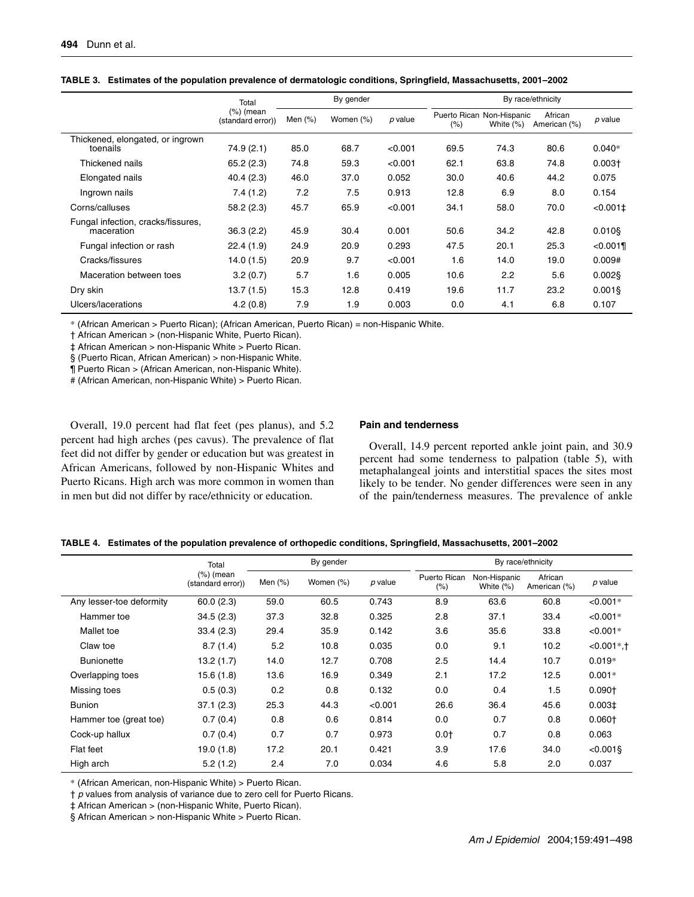|                                                  | Total                             |            | By gender |           |      | By race/ethnicity                         |                         |            |  |
|--------------------------------------------------|-----------------------------------|------------|-----------|-----------|------|-------------------------------------------|-------------------------|------------|--|
|                                                  | $(\%)$ (mean<br>(standard error)) | Men $(\%)$ | Women (%) | $p$ value | (%)  | Puerto Rican Non-Hispanic<br>White $(\%)$ | African<br>American (%) | $p$ value  |  |
| Thickened, elongated, or ingrown<br>toenails     | 74.9(2.1)                         | 85.0       | 68.7      | < 0.001   | 69.5 | 74.3                                      | 80.6                    | $0.040*$   |  |
| Thickened nails                                  | 65.2(2.3)                         | 74.8       | 59.3      | < 0.001   | 62.1 | 63.8                                      | 74.8                    | $0.003+$   |  |
| Elongated nails                                  | 40.4(2.3)                         | 46.0       | 37.0      | 0.052     | 30.0 | 40.6                                      | 44.2                    | 0.075      |  |
| Ingrown nails                                    | 7.4(1.2)                          | 7.2        | 7.5       | 0.913     | 12.8 | 6.9                                       | 8.0                     | 0.154      |  |
| Corns/calluses                                   | 58.2(2.3)                         | 45.7       | 65.9      | < 0.001   | 34.1 | 58.0                                      | 70.0                    | $<0.001$ ± |  |
| Fungal infection, cracks/fissures,<br>maceration | 36.3(2.2)                         | 45.9       | 30.4      | 0.001     | 50.6 | 34.2                                      | 42.8                    | $0.010$ §  |  |
| Fungal infection or rash                         | 22.4(1.9)                         | 24.9       | 20.9      | 0.293     | 47.5 | 20.1                                      | 25.3                    | < 0.001    |  |
| Cracks/fissures                                  | 14.0(1.5)                         | 20.9       | 9.7       | < 0.001   | 1.6  | 14.0                                      | 19.0                    | 0.009#     |  |
| Maceration between toes                          | 3.2(0.7)                          | 5.7        | 1.6       | 0.005     | 10.6 | 2.2                                       | 5.6                     | $0.002$ §  |  |
| Dry skin                                         | 13.7 (1.5)                        | 15.3       | 12.8      | 0.419     | 19.6 | 11.7                                      | 23.2                    | $0.001$ §  |  |
| Ulcers/lacerations                               | 4.2(0.8)                          | 7.9        | 1.9       | 0.003     | 0.0  | 4.1                                       | 6.8                     | 0.107      |  |

|  |  |  | TABLE 3. Estimates of the population prevalence of dermatologic conditions, Springfield, Massachusetts, 2001-2002 |  |  |  |
|--|--|--|-------------------------------------------------------------------------------------------------------------------|--|--|--|
|--|--|--|-------------------------------------------------------------------------------------------------------------------|--|--|--|

\* (African American > Puerto Rican); (African American, Puerto Rican) = non-Hispanic White.

† African American > (non-Hispanic White, Puerto Rican).

‡ African American > non-Hispanic White > Puerto Rican.

§ (Puerto Rican, African American) > non-Hispanic White.

¶ Puerto Rican > (African American, non-Hispanic White).

# (African American, non-Hispanic White) > Puerto Rican.

Overall, 19.0 percent had flat feet (pes planus), and 5.2 percent had high arches (pes cavus). The prevalence of flat feet did not differ by gender or education but was greatest in African Americans, followed by non-Hispanic Whites and Puerto Ricans. High arch was more common in women than in men but did not differ by race/ethnicity or education.

## **Pain and tenderness**

Overall, 14.9 percent reported ankle joint pain, and 30.9 percent had some tenderness to palpation (table 5), with metaphalangeal joints and interstitial spaces the sites most likely to be tender. No gender differences were seen in any of the pain/tenderness measures. The prevalence of ankle

| TABLE 4. Estimates of the population prevalence of orthopedic conditions, Springfield, Massachusetts, 2001-2002 |  |  |
|-----------------------------------------------------------------------------------------------------------------|--|--|
|                                                                                                                 |  |  |

|                          | Total                             |            | By gender |         | By race/ethnicity   |                              |                         |               |  |
|--------------------------|-----------------------------------|------------|-----------|---------|---------------------|------------------------------|-------------------------|---------------|--|
|                          | $(\%)$ (mean<br>(standard error)) | Men $(\%)$ | Women (%) | p value | Puerto Rican<br>(%) | Non-Hispanic<br>White $(\%)$ | African<br>American (%) | p value       |  |
| Any lesser-toe deformity | 60.0(2.3)                         | 59.0       | 60.5      | 0.743   | 8.9                 | 63.6                         | 60.8                    | $< 0.001*$    |  |
| Hammer toe               | 34.5(2.3)                         | 37.3       | 32.8      | 0.325   | 2.8                 | 37.1                         | 33.4                    | $< 0.001*$    |  |
| Mallet toe               | 33.4(2.3)                         | 29.4       | 35.9      | 0.142   | 3.6                 | 35.6                         | 33.8                    | $< 0.001*$    |  |
| Claw toe                 | 8.7(1.4)                          | 5.2        | 10.8      | 0.035   | 0.0                 | 9.1                          | 10.2                    | $-0.001$ *, † |  |
| <b>Bunionette</b>        | 13.2(1.7)                         | 14.0       | 12.7      | 0.708   | 2.5                 | 14.4                         | 10.7                    | $0.019*$      |  |
| Overlapping toes         | 15.6(1.8)                         | 13.6       | 16.9      | 0.349   | 2.1                 | 17.2                         | 12.5                    | $0.001*$      |  |
| Missing toes             | 0.5(0.3)                          | 0.2        | 0.8       | 0.132   | 0.0                 | 0.4                          | 1.5                     | $0.090+$      |  |
| <b>Bunion</b>            | 37.1(2.3)                         | 25.3       | 44.3      | < 0.001 | 26.6                | 36.4                         | 45.6                    | $0.003\pm$    |  |
| Hammer toe (great toe)   | 0.7(0.4)                          | 0.8        | 0.6       | 0.814   | 0.0                 | 0.7                          | 0.8                     | $0.060+$      |  |
| Cock-up hallux           | 0.7(0.4)                          | 0.7        | 0.7       | 0.973   | $0.0+$              | 0.7                          | 0.8                     | 0.063         |  |
| Flat feet                | 19.0(1.8)                         | 17.2       | 20.1      | 0.421   | 3.9                 | 17.6                         | 34.0                    | $< 0.001$ §   |  |
| High arch                | 5.2(1.2)                          | 2.4        | 7.0       | 0.034   | 4.6                 | 5.8                          | 2.0                     | 0.037         |  |

\* (African American, non-Hispanic White) > Puerto Rican.

 $\dagger$  p values from analysis of variance due to zero cell for Puerto Ricans.

‡ African American > (non-Hispanic White, Puerto Rican).

§ African American > non-Hispanic White > Puerto Rican.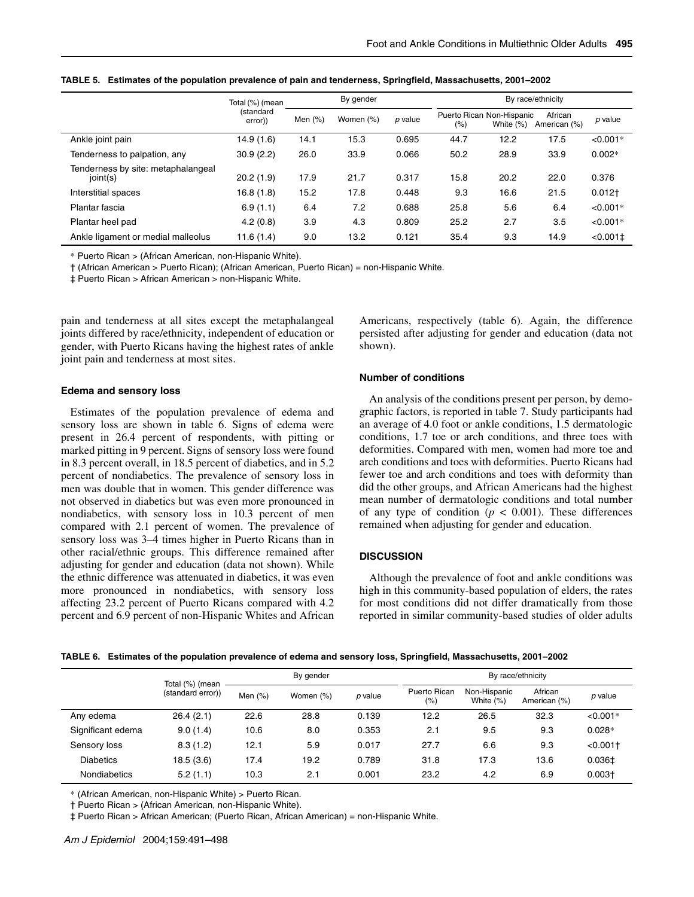|                                                | Total (%) (mean      | By gender  |           |           | By race/ethnicity |                                           |                         |                 |
|------------------------------------------------|----------------------|------------|-----------|-----------|-------------------|-------------------------------------------|-------------------------|-----------------|
|                                                | (standard<br>error)) | Men $(\%)$ | Women (%) | $p$ value | (%)               | Puerto Rican Non-Hispanic<br>White $(\%)$ | African<br>American (%) | $p$ value       |
| Ankle joint pain                               | 14.9 (1.6)           | 14.1       | 15.3      | 0.695     | 44.7              | 12.2                                      | 17.5                    | $< 0.001*$      |
| Tenderness to palpation, any                   | 30.9(2.2)            | 26.0       | 33.9      | 0.066     | 50.2              | 28.9                                      | 33.9                    | $0.002*$        |
| Tenderness by site: metaphalangeal<br>joint(s) | 20.2(1.9)            | 17.9       | 21.7      | 0.317     | 15.8              | 20.2                                      | 22.0                    | 0.376           |
| Interstitial spaces                            | 16.8(1.8)            | 15.2       | 17.8      | 0.448     | 9.3               | 16.6                                      | 21.5                    | $0.012+$        |
| Plantar fascia                                 | 6.9(1.1)             | 6.4        | 7.2       | 0.688     | 25.8              | 5.6                                       | 6.4                     | $< 0.001*$      |
| Plantar heel pad                               | 4.2(0.8)             | 3.9        | 4.3       | 0.809     | 25.2              | 2.7                                       | 3.5                     | $< 0.001*$      |
| Ankle ligament or medial malleolus             | 11.6(1.4)            | 9.0        | 13.2      | 0.121     | 35.4              | 9.3                                       | 14.9                    | $< 0.001 \pm 1$ |

**TABLE 5. Estimates of the population prevalence of pain and tenderness, Springfield, Massachusetts, 2001–2002**

\* Puerto Rican > (African American, non-Hispanic White).

† (African American > Puerto Rican); (African American, Puerto Rican) = non-Hispanic White.

‡ Puerto Rican > African American > non-Hispanic White.

pain and tenderness at all sites except the metaphalangeal joints differed by race/ethnicity, independent of education or gender, with Puerto Ricans having the highest rates of ankle joint pain and tenderness at most sites.

## **Edema and sensory loss**

Estimates of the population prevalence of edema and sensory loss are shown in table 6. Signs of edema were present in 26.4 percent of respondents, with pitting or marked pitting in 9 percent. Signs of sensory loss were found in 8.3 percent overall, in 18.5 percent of diabetics, and in 5.2 percent of nondiabetics. The prevalence of sensory loss in men was double that in women. This gender difference was not observed in diabetics but was even more pronounced in nondiabetics, with sensory loss in 10.3 percent of men compared with 2.1 percent of women. The prevalence of sensory loss was 3–4 times higher in Puerto Ricans than in other racial/ethnic groups. This difference remained after adjusting for gender and education (data not shown). While the ethnic difference was attenuated in diabetics, it was even more pronounced in nondiabetics, with sensory loss affecting 23.2 percent of Puerto Ricans compared with 4.2 percent and 6.9 percent of non-Hispanic Whites and African

Americans, respectively (table 6). Again, the difference persisted after adjusting for gender and education (data not shown).

#### **Number of conditions**

An analysis of the conditions present per person, by demographic factors, is reported in table 7. Study participants had an average of 4.0 foot or ankle conditions, 1.5 dermatologic conditions, 1.7 toe or arch conditions, and three toes with deformities. Compared with men, women had more toe and arch conditions and toes with deformities. Puerto Ricans had fewer toe and arch conditions and toes with deformity than did the other groups, and African Americans had the highest mean number of dermatologic conditions and total number of any type of condition  $(p < 0.001)$ . These differences remained when adjusting for gender and education.

## **DISCUSSION**

Although the prevalence of foot and ankle conditions was high in this community-based population of elders, the rates for most conditions did not differ dramatically from those reported in similar community-based studies of older adults

|  |  | TABLE 6. Estimates of the population prevalence of edema and sensory loss, Springfield, Massachusetts, 2001–2002 |
|--|--|------------------------------------------------------------------------------------------------------------------|
|  |  |                                                                                                                  |

|                     | Total (%) (mean   | By gender |           |           |                     | By race/ethnicity            |                         |             |  |  |
|---------------------|-------------------|-----------|-----------|-----------|---------------------|------------------------------|-------------------------|-------------|--|--|
|                     | (standard error)) | Men $(%)$ | Women (%) | $p$ value | Puerto Rican<br>(%) | Non-Hispanic<br>White $(\%)$ | African<br>American (%) | p value     |  |  |
| Any edema           | 26.4(2.1)         | 22.6      | 28.8      | 0.139     | 12.2                | 26.5                         | 32.3                    | $< 0.001*$  |  |  |
| Significant edema   | 9.0(1.4)          | 10.6      | 8.0       | 0.353     | 2.1                 | 9.5                          | 9.3                     | $0.028*$    |  |  |
| Sensory loss        | 8.3(1.2)          | 12.1      | 5.9       | 0.017     | 27.7                | 6.6                          | 9.3                     | < 0.001     |  |  |
| <b>Diabetics</b>    | 18.5 (3.6)        | 17.4      | 19.2      | 0.789     | 31.8                | 17.3                         | 13.6                    | $0.036 \pm$ |  |  |
| <b>Nondiabetics</b> | 5.2(1.1)          | 10.3      | 2.1       | 0.001     | 23.2                | 4.2                          | 6.9                     | $0.003+$    |  |  |

\* (African American, non-Hispanic White) > Puerto Rican.

† Puerto Rican > (African American, non-Hispanic White).

‡ Puerto Rican > African American; (Puerto Rican, African American) = non-Hispanic White.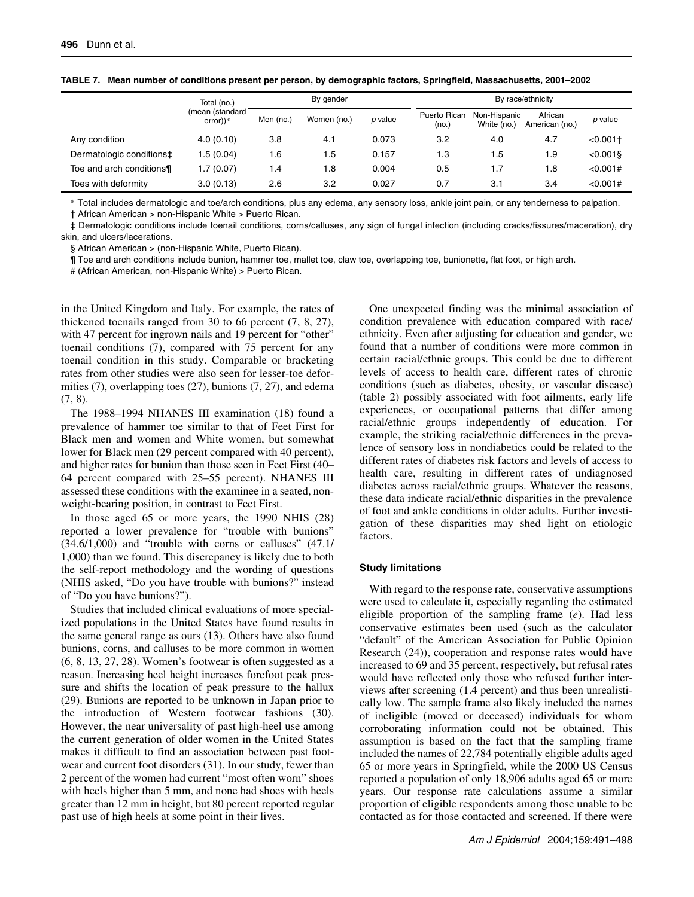|                          | By gender<br>Total (no.)      |     |             | By race/ethnicity |                              |                             |                           |             |
|--------------------------|-------------------------------|-----|-------------|-------------------|------------------------------|-----------------------------|---------------------------|-------------|
|                          | (mean (standard<br>$error$ )* |     | Women (no.) | p value           | <b>Puerto Rican</b><br>(no.) | Non-Hispanic<br>White (no.) | African<br>American (no.) | p value     |
| Any condition            | 4.0(0.10)                     | 3.8 | 4.1         | 0.073             | 3.2                          | 4.0                         | 4.7                       | $< 0.001$ + |
| Dermatologic conditions‡ | 1.5(0.04)                     | 1.6 | 1.5         | 0.157             | 1.3                          | 1.5                         | 1.9                       | $< 0.001$ § |
| Toe and arch conditions¶ | 1.7(0.07)                     | 1.4 | 1.8         | 0.004             | 0.5                          | ۱.7                         | 1.8                       | < 0.001#    |
| Toes with deformity      | 3.0(0.13)                     | 2.6 | 3.2         | 0.027             | 0.7                          | 3.1                         | 3.4                       | < 0.001#    |

**TABLE 7. Mean number of conditions present per person, by demographic factors, Springfield, Massachusetts, 2001–2002**

\* Total includes dermatologic and toe/arch conditions, plus any edema, any sensory loss, ankle joint pain, or any tenderness to palpation.

† African American > non-Hispanic White > Puerto Rican.

‡ Dermatologic conditions include toenail conditions, corns/calluses, any sign of fungal infection (including cracks/fissures/maceration), dry skin, and ulcers/lacerations.

§ African American > (non-Hispanic White, Puerto Rican).

¶ Toe and arch conditions include bunion, hammer toe, mallet toe, claw toe, overlapping toe, bunionette, flat foot, or high arch.

# (African American, non-Hispanic White) > Puerto Rican.

in the United Kingdom and Italy. For example, the rates of thickened toenails ranged from 30 to 66 percent (7, 8, 27), with 47 percent for ingrown nails and 19 percent for "other" toenail conditions (7), compared with 75 percent for any toenail condition in this study. Comparable or bracketing rates from other studies were also seen for lesser-toe deformities (7), overlapping toes (27), bunions (7, 27), and edema (7, 8).

The 1988–1994 NHANES III examination (18) found a prevalence of hammer toe similar to that of Feet First for Black men and women and White women, but somewhat lower for Black men (29 percent compared with 40 percent), and higher rates for bunion than those seen in Feet First (40– 64 percent compared with 25–55 percent). NHANES III assessed these conditions with the examinee in a seated, nonweight-bearing position, in contrast to Feet First.

In those aged 65 or more years, the 1990 NHIS (28) reported a lower prevalence for "trouble with bunions"  $(34.6/1,000)$  and "trouble with corns or calluses"  $(47.1/1)$ 1,000) than we found. This discrepancy is likely due to both the self-report methodology and the wording of questions (NHIS asked, "Do you have trouble with bunions?" instead of "Do you have bunions?").

Studies that included clinical evaluations of more specialized populations in the United States have found results in the same general range as ours (13). Others have also found bunions, corns, and calluses to be more common in women (6, 8, 13, 27, 28). Women's footwear is often suggested as a reason. Increasing heel height increases forefoot peak pressure and shifts the location of peak pressure to the hallux (29). Bunions are reported to be unknown in Japan prior to the introduction of Western footwear fashions (30). However, the near universality of past high-heel use among the current generation of older women in the United States makes it difficult to find an association between past footwear and current foot disorders (31). In our study, fewer than 2 percent of the women had current "most often worn" shoes with heels higher than 5 mm, and none had shoes with heels greater than 12 mm in height, but 80 percent reported regular past use of high heels at some point in their lives.

One unexpected finding was the minimal association of condition prevalence with education compared with race/ ethnicity. Even after adjusting for education and gender, we found that a number of conditions were more common in certain racial/ethnic groups. This could be due to different levels of access to health care, different rates of chronic conditions (such as diabetes, obesity, or vascular disease) (table 2) possibly associated with foot ailments, early life experiences, or occupational patterns that differ among racial/ethnic groups independently of education. For example, the striking racial/ethnic differences in the prevalence of sensory loss in nondiabetics could be related to the different rates of diabetes risk factors and levels of access to health care, resulting in different rates of undiagnosed diabetes across racial/ethnic groups. Whatever the reasons, these data indicate racial/ethnic disparities in the prevalence of foot and ankle conditions in older adults. Further investigation of these disparities may shed light on etiologic factors.

# **Study limitations**

With regard to the response rate, conservative assumptions were used to calculate it, especially regarding the estimated eligible proportion of the sampling frame (*e*). Had less conservative estimates been used (such as the calculator "default" of the American Association for Public Opinion Research (24)), cooperation and response rates would have increased to 69 and 35 percent, respectively, but refusal rates would have reflected only those who refused further interviews after screening (1.4 percent) and thus been unrealistically low. The sample frame also likely included the names of ineligible (moved or deceased) individuals for whom corroborating information could not be obtained. This assumption is based on the fact that the sampling frame included the names of 22,784 potentially eligible adults aged 65 or more years in Springfield, while the 2000 US Census reported a population of only 18,906 adults aged 65 or more years. Our response rate calculations assume a similar proportion of eligible respondents among those unable to be contacted as for those contacted and screened. If there were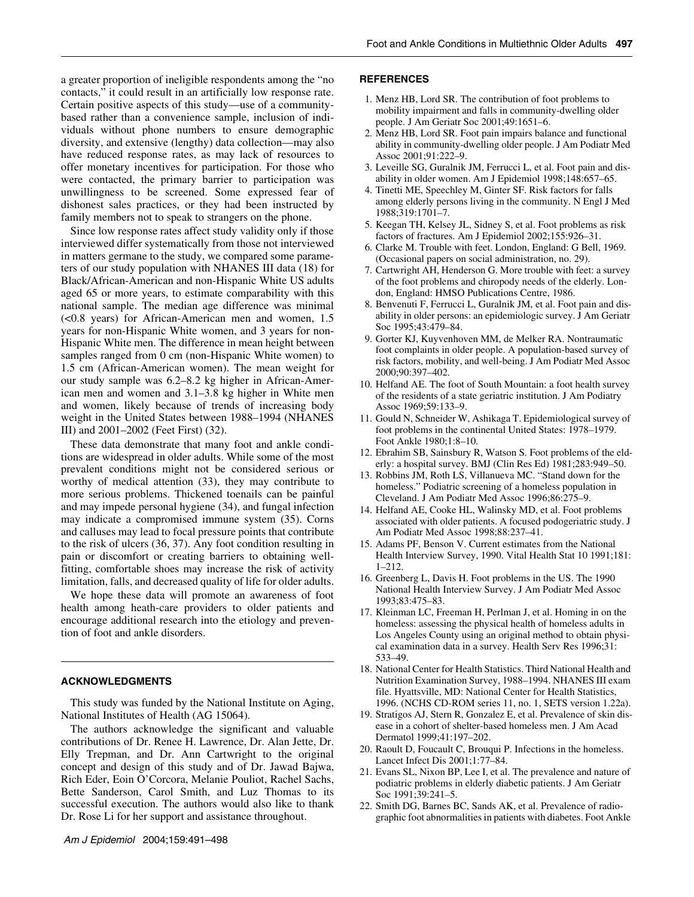a greater proportion of ineligible respondents among the "no contacts," it could result in an artificially low response rate. Certain positive aspects of this study—use of a communitybased rather than a convenience sample, inclusion of individuals without phone numbers to ensure demographic diversity, and extensive (lengthy) data collection—may also have reduced response rates, as may lack of resources to offer monetary incentives for participation. For those who were contacted, the primary barrier to participation was unwillingness to be screened. Some expressed fear of dishonest sales practices, or they had been instructed by family members not to speak to strangers on the phone.

Since low response rates affect study validity only if those interviewed differ systematically from those not interviewed in matters germane to the study, we compared some parameters of our study population with NHANES III data (18) for Black/African-American and non-Hispanic White US adults aged 65 or more years, to estimate comparability with this national sample. The median age difference was minimal (<0.8 years) for African-American men and women, 1.5 years for non-Hispanic White women, and 3 years for non-Hispanic White men. The difference in mean height between samples ranged from 0 cm (non-Hispanic White women) to 1.5 cm (African-American women). The mean weight for our study sample was 6.2–8.2 kg higher in African-American men and women and 3.1–3.8 kg higher in White men and women, likely because of trends of increasing body weight in the United States between 1988–1994 (NHANES III) and 2001–2002 (Feet First) (32).

These data demonstrate that many foot and ankle conditions are widespread in older adults. While some of the most prevalent conditions might not be considered serious or worthy of medical attention (33), they may contribute to more serious problems. Thickened toenails can be painful and may impede personal hygiene (34), and fungal infection may indicate a compromised immune system (35). Corns and calluses may lead to focal pressure points that contribute to the risk of ulcers (36, 37). Any foot condition resulting in pain or discomfort or creating barriers to obtaining wellfitting, comfortable shoes may increase the risk of activity limitation, falls, and decreased quality of life for older adults.

We hope these data will promote an awareness of foot health among heath-care providers to older patients and encourage additional research into the etiology and prevention of foot and ankle disorders.

## **ACKNOWLEDGMENTS**

This study was funded by the National Institute on Aging, National Institutes of Health (AG 15064).

The authors acknowledge the significant and valuable contributions of Dr. Renee H. Lawrence, Dr. Alan Jette, Dr. Elly Trepman, and Dr. Ann Cartwright to the original concept and design of this study and of Dr. Jawad Bajwa, Rich Eder, Eoin O'Corcora, Melanie Pouliot, Rachel Sachs, Bette Sanderson, Carol Smith, and Luz Thomas to its successful execution. The authors would also like to thank Dr. Rose Li for her support and assistance throughout.

#### **REFERENCES**

- 1. Menz HB, Lord SR. The contribution of foot problems to mobility impairment and falls in community-dwelling older people. J Am Geriatr Soc 2001;49:1651–6.
- 2. Menz HB, Lord SR. Foot pain impairs balance and functional ability in community-dwelling older people. J Am Podiatr Med Assoc 2001;91:222–9.
- 3. Leveille SG, Guralnik JM, Ferrucci L, et al. Foot pain and disability in older women. Am J Epidemiol 1998;148:657–65.
- 4. Tinetti ME, Speechley M, Ginter SF. Risk factors for falls among elderly persons living in the community. N Engl J Med 1988;319:1701–7.
- 5. Keegan TH, Kelsey JL, Sidney S, et al. Foot problems as risk factors of fractures. Am J Epidemiol 2002;155:926–31.
- 6. Clarke M. Trouble with feet. London, England: G Bell, 1969. (Occasional papers on social administration, no. 29).
- 7. Cartwright AH, Henderson G. More trouble with feet: a survey of the foot problems and chiropody needs of the elderly. London, England: HMSO Publications Centre, 1986.
- 8. Benvenuti F, Ferrucci L, Guralnik JM, et al. Foot pain and disability in older persons: an epidemiologic survey. J Am Geriatr Soc 1995;43:479–84.
- 9. Gorter KJ, Kuyvenhoven MM, de Melker RA. Nontraumatic foot complaints in older people. A population-based survey of risk factors, mobility, and well-being. J Am Podiatr Med Assoc 2000;90:397–402.
- 10. Helfand AE. The foot of South Mountain: a foot health survey of the residents of a state geriatric institution. J Am Podiatry Assoc 1969;59:133–9.
- 11. Gould N, Schneider W, Ashikaga T. Epidemiological survey of foot problems in the continental United States: 1978–1979. Foot Ankle 1980;1:8–10.
- 12. Ebrahim SB, Sainsbury R, Watson S. Foot problems of the elderly: a hospital survey. BMJ (Clin Res Ed) 1981;283:949–50.
- 13. Robbins JM, Roth LS, Villanueva MC. "Stand down for the homeless." Podiatric screening of a homeless population in Cleveland. J Am Podiatr Med Assoc 1996;86:275–9.
- 14. Helfand AE, Cooke HL, Walinsky MD, et al. Foot problems associated with older patients. A focused podogeriatric study. J Am Podiatr Med Assoc 1998;88:237–41.
- 15. Adams PF, Benson V. Current estimates from the National Health Interview Survey, 1990. Vital Health Stat 10 1991;181: 1–212.
- 16. Greenberg L, Davis H. Foot problems in the US. The 1990 National Health Interview Survey. J Am Podiatr Med Assoc 1993;83:475–83.
- 17. Kleinman LC, Freeman H, Perlman J, et al. Homing in on the homeless: assessing the physical health of homeless adults in Los Angeles County using an original method to obtain physical examination data in a survey. Health Serv Res 1996;31: 533–49.
- 18. National Center for Health Statistics. Third National Health and Nutrition Examination Survey, 1988–1994. NHANES III exam file. Hyattsville, MD: National Center for Health Statistics, 1996. (NCHS CD-ROM series 11, no. 1, SETS version 1.22a).
- 19. Stratigos AJ, Stern R, Gonzalez E, et al. Prevalence of skin disease in a cohort of shelter-based homeless men. J Am Acad Dermatol 1999;41:197–202.
- 20. Raoult D, Foucault C, Brouqui P. Infections in the homeless. Lancet Infect Dis 2001;1:77–84.
- 21. Evans SL, Nixon BP, Lee I, et al. The prevalence and nature of podiatric problems in elderly diabetic patients. J Am Geriatr Soc 1991;39:241–5.
- 22. Smith DG, Barnes BC, Sands AK, et al. Prevalence of radiographic foot abnormalities in patients with diabetes. Foot Ankle